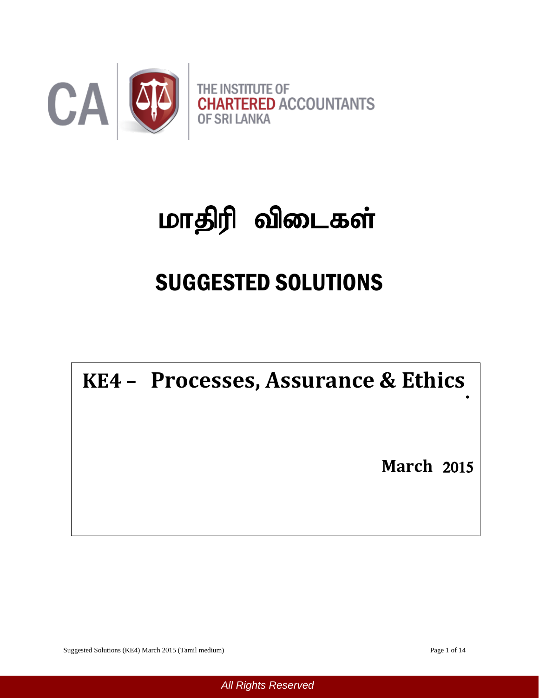

# மாதிரி விடைகள்

## SUGGESTED SOLUTIONS

**KE4 – Processes, Assurance & Ethics**

**March** 2015

Suggested Solutions (KE4) March 2015 (Tamil medium) Page 1 of 14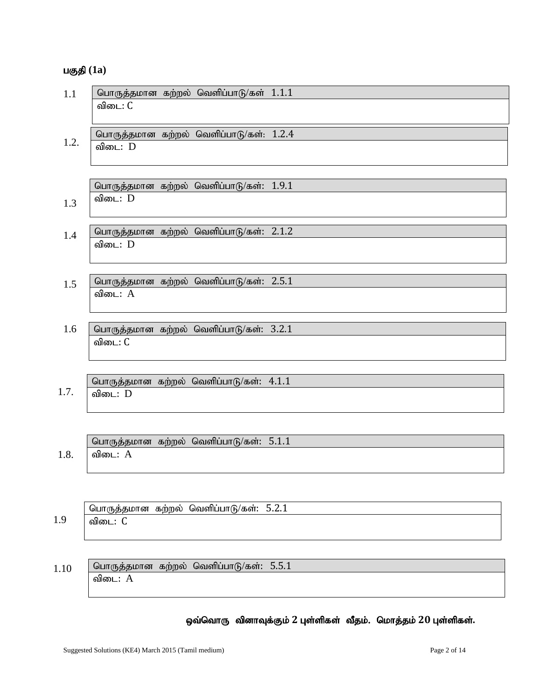#### **பகுதி** (1a)

| 1.1  | பொருத்தமான கற்றல் வெளிப்பாடு/கள் 1.1.1             |
|------|----------------------------------------------------|
|      | விடை: C                                            |
|      |                                                    |
|      | பொருத்தமான கற்றல் வெளிப்பாடு/கள்: 1.2.4            |
| 1.2. | விடை: D                                            |
|      |                                                    |
|      |                                                    |
|      | பொருத்தமான கற்றல் வெளிப்பாடு/கள்: 1.9.1            |
|      | விடை: D                                            |
| 1.3  |                                                    |
|      |                                                    |
| 1.4  | பொருத்தமான கற்றல் வெளிப்பாடு/கள்: 2.1.2            |
|      | விடை: D                                            |
|      |                                                    |
|      |                                                    |
| 1.5  | பொருத்தமான கற்றல் வெளிப்பாடு/கள்: 2.5.1            |
|      | விடை: A                                            |
|      |                                                    |
| 1.6  | பொருத்தமான கற்றல் வெளிப்பாடு/கள்: 3.2.1            |
|      | விடை: C                                            |
|      |                                                    |
|      |                                                    |
|      |                                                    |
| 1.7. | பொருத்தமான கற்றல் வெளிப்பாடு/கள்: 4.1.1<br>விடை: D |
|      |                                                    |
|      |                                                    |
|      |                                                    |
|      | பொருத்தமான கற்றல் வெளிப்பாடு/கள்: 5.1.1            |
| 1.8. | விடை: A                                            |
|      |                                                    |
|      |                                                    |
|      |                                                    |

|                       | <b>J</b><br>기1 601 | கற்றல | $\mathbf{r} \sim$<br>வெளிட<br>.<br>c−nhii | . |
|-----------------------|--------------------|-------|-------------------------------------------|---|
| $\alpha$<br><b>1.</b> | விடை               |       |                                           |   |

பொருத்தமான கற்றல் வெளிப்பாடு/கள்: 5.5.1 விடை $: A$ 1.10

#### ஒவ்வொரு வினாவுக்கும் 2 புள்ளிகள் வீதம். மொத்தம் 20 புள்ளிகள்.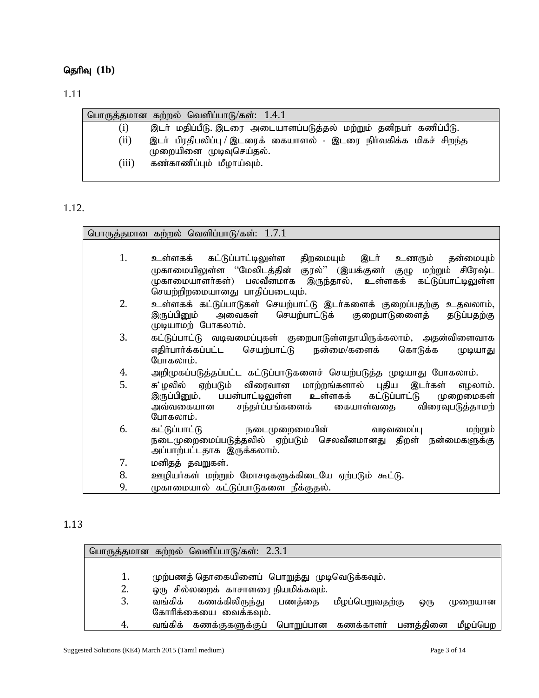### தெரிவு (1b)

#### 1.11

|       | பொருத்தமான கற்றல் வெளிப்பாடு/கள்: 1.4.1                           |
|-------|-------------------------------------------------------------------|
| (1)   | இடா் மதிப்பீடு. இடரை அடையாளப்படுத்தல் மற்றும் தனிநபா் கணிப்பீடு.  |
| (ii)  | இடா் பிரதிபலிப்பு / இடரைக் கையாளல் - இடரை நிா்வகிக்க மிகச் சிறந்த |
| (iii) | முறையினை முடிவுசெய்தல்.<br>கண்காணிப்பும் மீழாய்வும்.              |
|       |                                                                   |

#### 1.12.

|    | பொருத்தமான கற்றல் வெளிப்பாடு/கள்: 1.7.1                                                     |
|----|---------------------------------------------------------------------------------------------|
|    |                                                                                             |
| 1. | உள்ளகக் கட்டுப்பாட்டிலுள்ள திறமையும் இடா் உணரும் தன்மையும்                                  |
|    | முகாமையிலுள்ள ''மேலிடத்தின் குரல்'' (இயக்குனர் குழு மற்றும் சிரேஷ்ட                         |
|    | முகாமையாளர்கள்) பலவீனமாக இருந்தால், உள்ளகக் கட்டுப்பாட்டிலுள்ள                              |
|    | செயற்றிறமையானது பாதிப்படையும்.                                                              |
| 2. | உள்ளகக் கட்டுப்பாடுகள் செயற்பாட்டு இடர்களைக் குறைப்பதற்கு உதவலாம்,                          |
|    | இருப்பினும் அவைகள் செயற்பாட்டுக் குறைபாடுணைத் தடுப்பதற்கு<br>முடியாமற் போகலாம்.             |
| 3. | கட்டுப்பாட்டு வடிவமைப்புகள் குறைபாடுள்ளதாயிருக்கலாம், அதன்விளைவாக                           |
|    | எதிா்பாா்க்கப்பட்ட செயற்பாட்டு நன்மை/களைக்<br>கொடுக்க<br>முடியாது                           |
|    | போகலாம்.                                                                                    |
| 4. | அறிமுகப்படுத்தப்பட்ட கட்டுப்பாடுகளைச் செயற்படுத்த முடியாது போகலாம்.                         |
| 5. | சு'ழலில் ஏற்படும் விரைவான மாற்றங்களால் புதிய இடர்கள்<br>எழலாம்.                             |
|    | இருப்பினும், பயன்பாட்டிலுள்ள உள்ளகக் கட்டுப்பாட்டு முறைமைகள்                                |
|    | அவ்வகையான சந்தர்ப்பங்களைக்<br>விரைவுபடுத்தாமற்<br>கையாள்வதை                                 |
|    | போகலாம்.                                                                                    |
| 6. | கட்டுப்பாட்டு<br>நடைமுறைமையின்<br>மற்றும்<br>வடிவமைப்பு                                     |
|    | நடைமுறைமைப்படுத்தலில் ஏற்படும் செலவீனமானது திறள் நன்மைகளுக்கு<br>அப்பாற்பட்டதாக இருக்கலாம். |
|    |                                                                                             |
| 7. | மனிதத் தவறுகள்.                                                                             |
| 8. | ஊழியா்கள் மற்றும் மோசடிகளுக்கிடையே ஏற்படும் கூட்டு.                                         |
| 9. | முகாமையால் கட்டுப்பாடுகளை நீக்குதல்.                                                        |

#### 1.13

|     | பொருத்தமான கற்றல் வெளிப்பாடு/கள்: 2.3.1                            |
|-----|--------------------------------------------------------------------|
|     |                                                                    |
| 1.  | முற்பணத் தொகையினைப் பொறுத்து முடிவெடுக்கவும்.                      |
| 2.  | ஒரு சில்லறைக் காசாளரை நியமிக்கவும்.                                |
| 3.  | வங்கிக் கணக்கிலிருந்து பணத்தை<br>மீழப்பெறுவதற்கு<br>முறையான<br>ஒரு |
|     | கோரிக்கையை வைக்கவும்.                                              |
| -4. | வங்கிக் கணக்குகளுக்குப் பொறுப்பான கணக்காளர் பணத்தினை<br>மீழப்பெற   |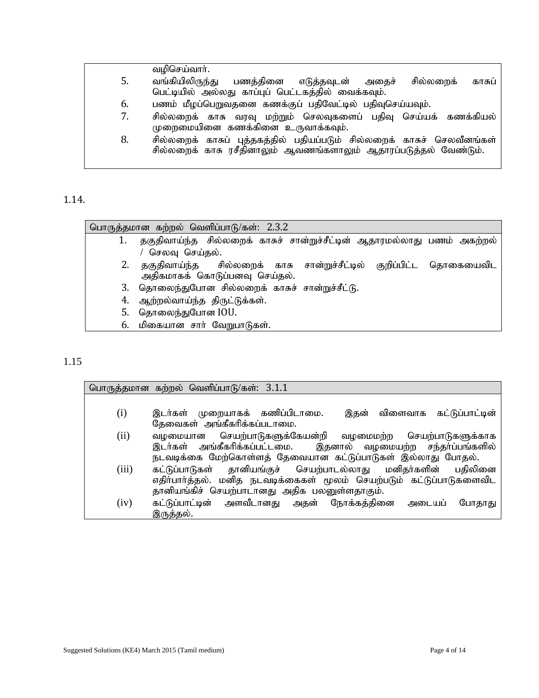|    | வழிசெய்வாா்.                                                                                                                               |
|----|--------------------------------------------------------------------------------------------------------------------------------------------|
| 5. | வங்கியிலிருந்து<br>பணத்தினை எடுத்தவுடன்<br>சில்லறைக்<br>அதைச்<br>காசுப்<br>பெட்டியில் அல்லது காப்புப் பெட்டகத்தில் வைக்கவும்.              |
| 6. | பணம் மீழப்பெறுவதனை கணக்குப் பதிவேட்டில் பதிவுசெய்யவும்.                                                                                    |
| 7. | சில்லறைக் காசு வரவு மற்றும் செலவுகளைப் பதிவு செய்யக் கணக்கியல்<br>முறைமையினை கணக்கினை உருவாக்கவும்.                                        |
| 8. | சில்லறைக் காசுப் புத்தகத்தில் பதியப்படும் சில்லறைக் காசுச் செலவீனங்கள்<br>சில்லறைக் காசு ரசீதினாலும் ஆவணங்களாலும் ஆதாரப்படுத்தல் வேண்டும். |

1.14.

L

|    | பொருத்தமான கற்றல் வெளிப்பாடு/கள்: 2.3.2                                 |
|----|-------------------------------------------------------------------------|
|    | தகுதிவாய்ந்த சில்லறைக் காசுச் சான்றுச்சீட்டின் ஆதாரமல்லாது பணம் அகற்றல் |
|    | செலவு செய்தல்.                                                          |
|    | 2. தகுதிவாய்ந்த  சில்லறைக் காசு சான்றுச்சீட்டில் குறிப்பிட்ட தொகையைவிட  |
|    | அதிகமாகக் கொடுப்பனவு செய்தல்.                                           |
| 3. | தொலைந்துபோன சில்லறைக் காசுச் சான்றுச்சீட்டு.                            |
|    | 4. ஆற்றல்வாய்ந்த திருட்டுக்கள்.                                         |
| 5. | தொலைந்துபோன IOU.                                                        |
|    | 6. மிகையான சார் வேறுபாடுகள்.                                            |

#### 1.15

|       | பொருத்தமான கற்றல் வெளிப்பாடு/கள்: $3.1.1$                            |
|-------|----------------------------------------------------------------------|
|       |                                                                      |
| (i)   | இடர்கள் முறையாகக் கணிப்பிடாமை.<br>இதன் விளைவாக கட்டுப்பாட்டின்       |
|       | தேவைகள் அங்கீகரிக்கப்படாமை.                                          |
| (ii)  | வழமையான செயற்பாடுகளுக்கேயன்றி வழமைமற்ற செயற்பாடுகளுக்காக             |
|       | இடர்கள் அங்கீகரிக்கப்பட்டமை. இதனால் வழமையற்ற சந்தர்ப்பங்களில்        |
|       | நடவடிக்கை மேற்கொள்ளத் தேவையான கட்டுப்பாடுகள் இல்லாது போதல்.          |
| (iii) | கட்டுப்பாடுகள் தானியங்குச் செயற்பாடல்லாது மனிதர்களின் பதிலினை        |
|       | எதிர்பார்த்தல். மனித நடவடிக்கைகள் மூலம் செயற்படும் கட்டுப்பாடுகளைவிட |
|       | தானியங்கிச் செயற்பாடானது அதிக பலனுள்ளதாகும்.                         |
| (iv)  | கட்டுப்பாட்டின் அளவீடானது அதன் நோக்கத்தினை அடையப்<br>போதாது          |
|       | இருத்தல்.                                                            |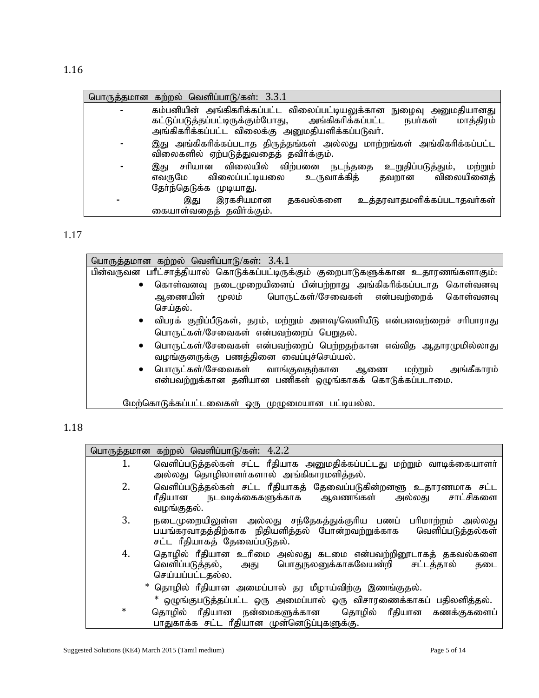| பொருத்தமான கற்றல் வெளிப்பாடு/கள்: 3.3.1                                                                                                                                                                |
|--------------------------------------------------------------------------------------------------------------------------------------------------------------------------------------------------------|
| கம்பனியின் அங்கிகரிக்கப்பட்ட விலைப்பட்டியலுக்கான நுழைவு அனுமதியானது<br>கட்டுப்படுத்தப்பட்டிருக்கும்போது, அங்கிகரிக்கப்பட்ட<br>மாத்திரம்<br>நபர்கள்<br>அங்கிகரிக்கப்பட்ட விலைக்கு அனுமதியளிக்கப்படுவர். |
|                                                                                                                                                                                                        |
| இது அங்கிகரிக்கப்படாத திருத்தங்கள் அல்லது மாற்றங்கள் அங்கிகரிக்கப்பட்ட<br>விலைகளில் ஏற்படுத்துவதைத் தவிர்க்கும்.                                                                                       |
| சரியான விலையில் விற்பனை நடந்ததை<br>உறுதிப்படுத்தும்,<br>மற்றும்<br>இது<br>விலைப்பட்டியலை<br>உருவாக்கித்<br>விலையினைத்<br>எவருமே<br>தவறான<br>தேர்ந்தெடுக்க முடியாது.                                    |
| உத்தரவாதமளிக்கப்படாதவர்கள்<br>இரகசியமான<br>தகவல்களை<br>இது<br>கையாள்வதைத் தவிர்க்கும்.                                                                                                                 |

#### 1.17

| பொருத்தமான கற்றல் வெளிப்பாடு/கள்: 3.4.1                                                                                              |
|--------------------------------------------------------------------------------------------------------------------------------------|
| பின்வருவன பரீட்சாத்தியால் கொடுக்கப்பட்டிருக்கும் குறைபாடுகளுக்கான உதாரணங்களாகும்:                                                    |
| கொள்வனவு நடைமுறையினைப் பின்பற்றாது அங்கிகரிக்கப்படாத கொள்வனவு<br>$\bullet$                                                           |
| பொருட்கள்/சேவைகள் என்பவற்றைக்<br>ஆணையின் மூலம்<br>கொள்வனவு                                                                           |
| செய்தல்.                                                                                                                             |
| விபரக் குறிப்பீடுகள், தரம், மற்றும் அளவு/வெளியீடு என்பனவற்றைச் சரிபாராது<br>$\bullet$                                                |
| பொருட்கள்/சேவைகள் என்பவற்றைப் பெறுதல்.                                                                                               |
| பொருட்கள்/சேவைகள் என்பவற்றைப் பெற்றதற்கான எவ்வித ஆதாரமுமில்லாது<br>$\bullet$<br>வழங்குனருக்கு பணத்தினை வைப்புச்செய்யல்.              |
| பொருட்கள்/சேவைகள் வாங்குவதற்கான ஆணை<br>அங்கீகாரம்<br>மற்றும்<br>$\bullet$<br>என்பவற்றுக்கான தனியான பணிகள் ஒழுங்காகக் கொடுக்கப்படாமை. |
| மேற்கொடுக்கப்பட்டவைகள் ஒரு முழுமையான பட்டியல்ல.                                                                                      |

#### 1.18

|        | பொருத்தமான கற்றல் வெளிப்பாடு/கள்: 4.2.2                                                                                                                             |
|--------|---------------------------------------------------------------------------------------------------------------------------------------------------------------------|
| 1.     | வெளிப்படுத்தல்கள் சட்ட ரீதியாக அனுமதிக்கப்பட்டது மற்றும் வாடிக்கையாளர்<br>அல்லது தொழிலாளா்களால் அங்கிகாரமளித்தல்.                                                   |
| 2.     | வெளிப்படுத்தல்கள் சட்ட ரீதியாகத் தேவைப்படுகின்றனளு உதாரணமாக சட்ட<br>ரீதியான நடவடிக்கைகளுக்காக ஆவணங்கள்<br>சாட்சிகளை<br>அல்லது<br>வழங்குதல்.                         |
| 3.     | நடைமுறையிலுள்ள அல்லது சந்தேகத்துக்குரிய பணப் பரிமாற்றம் அல்லது<br>பயங்கரவாதத்திற்காக நிதியளித்தல் போன்றவற்றுக்காக வெளிப்படுத்தல்கள்<br>சட்ட ரீதியாகத் தேவைப்படுதல். |
| 4.     | தொழில் ரீதியான உரிமை அல்லது கடமை என்பவற்றினூடாகத் தகவல்களை<br>வெளிப்படுத்தல், அது பொதுநலனுக்காகவேயன்றி சட்டத்தால்<br>கடை<br>செய்யப்பட்டதல்ல.                        |
|        | * தொழில் ரீதியான அமைப்பால் தர மீழாய்விற்கு இணங்குதல்.                                                                                                               |
|        | * ஒழுங்குபடுத்தப்பட்ட ஒரு அமைப்பால் ஒரு விசாரணைக்காகப் பதிலளித்தல்.                                                                                                 |
| $\ast$ | தொழில் ரீதியான நன்மைகளுக்கான  தொழில் ரீதியான கணக்குகளைப்<br>பாதுகாக்க சட்ட ரீதியான முன்னெடுப்புகளுக்கு.                                                             |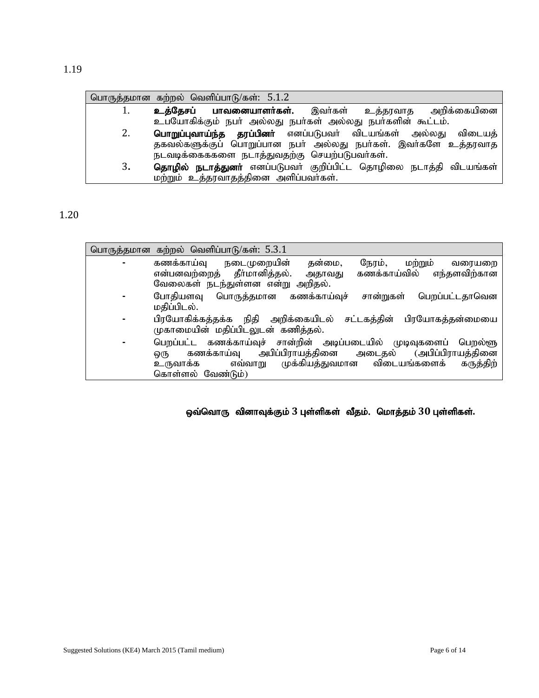|    | பொருத்தமான கற்றல் வெளிப்பாடு/கள்: 5.1.2                                   |
|----|---------------------------------------------------------------------------|
| Ī. | <b>பாவனையாளர்கள்.</b> இவர்கள் உத்தரவாத அறிக்கையினை<br>உத்தேசப்            |
|    | உபயோகிக்கும் நபர் அல்லது நபர்கள் அல்லது நபர்களின் கூட்டம்.                |
| 2. | <b>பொறுப்புவாய்ந்த தரப்பினா்</b> எனப்படுபவா் விடயங்கள் அல்லது விடையத்     |
|    | தகவல்களுக்குப் பொறுப்பான நபர் அல்லது நபர்கள். இவர்களே உத்தரவாத            |
|    | நடவடிக்கைககளை நடாத்துவதற்கு செயற்படுபவர்கள்.                              |
| 3. | <b>தொழில் நடாத்துனா்</b> எனப்படுபவா் குறிப்பிட்ட தொழிலை நடாத்தி விடயங்கள் |
|    | மற்றும் உத்தரவாதத்தினை அளிப்பவா்கள்.                                      |

1.20

|   | பொருத்தமான கற்றல் வெளிப்பாடு/கள்: 5.3.1                                                                                                                                                                                     |
|---|-----------------------------------------------------------------------------------------------------------------------------------------------------------------------------------------------------------------------------|
| ۰ | கணக்காய்வு<br>தன்மை,<br>நேரம், மற்றும்<br>நடைமுறையின்<br>வரையறை<br>என்பனவற்றைத் தீர்மானித்தல்.<br>கணக்காய்வில்<br>எந்தளவிற்கான<br>அதாவது                                                                                    |
|   | வேலைகள் நடந்துள்ளன என்று அறிதல்.                                                                                                                                                                                            |
| ۰ | கணக்காய்வுச்<br>போதியளவு பொருத்தமான<br>பெறப்பட்டதாவென<br>சான்றுகள்<br>மதிப்பிடல்.                                                                                                                                           |
| ٠ | பிரயோகிக்கத்தக்க நிதி அறிக்கையிடல் சட்டகத்தின்<br>பிரயோகத்தன்மையை<br>முகாமையின் மதிப்பிடலுடன் கணித்தல்.                                                                                                                     |
| ۰ | பெறப்பட்ட கணக்காய்வுச் சான்றின் அடிப்படையில் முடிவுகளைப்<br>பெறல்ளு<br>அபிப்பிராயத்தினை அடைதல் (அபிப்பிராயத்தினை<br>கணக்காய்வு<br>ஒரு<br>முக்கியத்துவமான விடையங்களைக் கருத்திற்<br>எவ்வாறு<br>உருவாக்க<br>கொள்ளல் வேண்டும்) |

ஒவ்வொரு வினாவுக்கும் 3 புள்ளிகள் வீதம். மொத்தம் 30 புள்ளிகள்.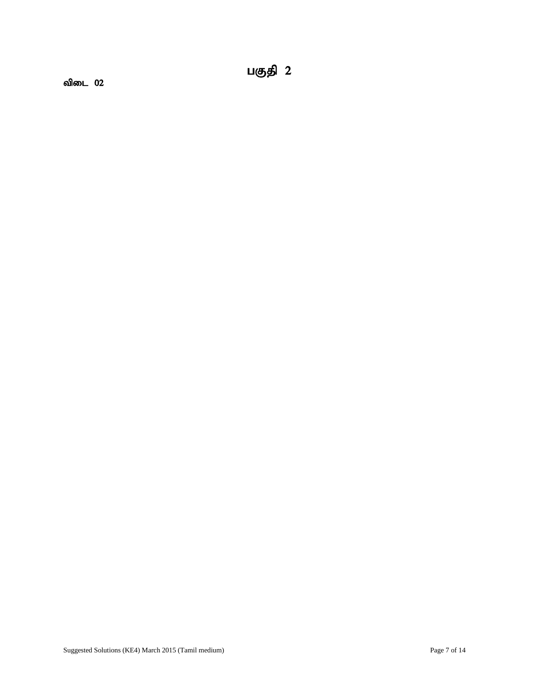விடை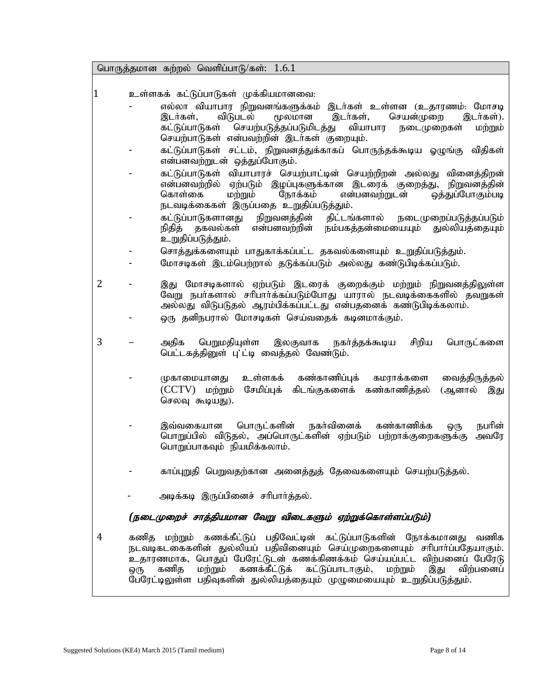பொருத்தமான கற்றல் வெளிப்பாடு/கள்:  $1.6.1$ 

- 1 உள்ளகக் கட்டுப்பாடுகள் முக்கியமானவை:
	- எல்லா வியாபார நிறுவனங்களுக்கம் இடர்கள் உள்ளன (உதாரணம்: மோசடி<br>இடர்கள், விடுபடல் மூலமான இடர்கள், செயன்முறை இடர்கள்). .ர்கள், செயன்முறை இடர்கள்).<br>- வியாபார நடைமுறைகள் மற்றும் கட்டுப்பாடுகள் செயற்படுத்தப்படுமிடத்து செயற்பாடுகள் என்பவற்றின் இடர்கள் குறையும்.
	- கட்டுப்பாடுகள் சட்டம், நிறுவனத்துக்காகப் பொருந்தக்கூடிய ஓழுங்கு விதிகள் என்பனவற்றுடன் ஒத்துப்போகும்.
	- கட்டுப்பாடுகள் வியாபாரச் செயற்பாட்டின் செயற்றிறன் அல்லது வினைத்திறன் என்பனவற்றில் ஏற்படும் இழப்புகளுக்கான இடரைக் குறைத்து, நிறுவனத்தின்<br>கொள்கை மற்றும் நோக்கம் என்பனவற்றுடன் ஒத்துப்போகும்படி லத்துப்போகும்படி நடவடிக்கைகள் இருப்பதை உறுதிப்படுத்தும்.
	- கட்டுப்பாடுகளானது நிறுவனத்தின் திட்டங்களால் நடைமுறைப்படுத்தப்படும்<br>நிதித் தகவல்கள் என்பனவற்றின் நம்பகத்தன்மையையும் துல்லியத்தையும் நம்பகத்தன்மையையும் துல்லியத்தையும் உறுதிப்படுத்தும்.
	- சொத்துக்களையும் பாதுகாக்கப்பட்ட தகவல்களையும் உறுதிப்படுத்தும்.
	- மோசடிகள் இடம்பெற்றால் தடுக்கப்படும் அல்லது கண்டுபிடிக்கப்படும்.
- 2 இது மோசடிகளால் ஏற்படும் இடரைக் குறைக்கும் மற்றும் நிறுவனத்திலுள்ள வேறு நபர்களால் சரிபார்க்கப்படும்போது யாரால் நடவடிக்கைகளில் தவறுகள் அல்லது விடுபடுதல் ஆரம்பிக்கப்பட்டது என்பதனைக் கண்டுபிடிக்கலாம். டை தனிநபரால் மோசடிகள் செய்வதைக் கடினமாக்கும்.
	-
- 3 அதிக பெறுமதியுள்ள இலகுவாக நகர்த்தக்கூடிய சிறிய பொருட்களை பெட்டகத்தினுள் பு'ட்டி வைத்தல் வேண்டும்.
	- முகாமையானது உள்ளகக் கண்காணிப்புக் கமராக்களை வைத்திருத்தல் (CCTV) மற்றும் சேமிப்புக் கிடங்குகளைக் கண்காணிக்கல் (ஆனால் இது செலவு கூடியது).
	- இவ்வகையான பொருட்களின் நகர்வினைக் கண்காணிக்க ஒரு நபரின் பொறுப்பில் விடுதல், அப்பொருட்களின் ஏற்படும் பற்றாக்குறைகளுக்கு அவரே பொறுப்பாகவும் நியமிக்கலாம்.
	- காப்புறுதி பெறுவதற்கான அனைத்துத் தேவைகளையும் செயற்படுத்தல்.
	- அடிக்கடி இருப்பினைச் சரிபார்த்தல்.

#### (நடைமுறைச் சாத்தியமான வேறு விடைகளும் ஏற்றுக்கொள்ளப்படும்)

4 – கணித மற்றும் கணக்கீட்டுப் பதிவேட்டின் கட்டுப்பாடுகளின் நோக்கமானது வணிக நடவடிகடகைகளின் துல்லியப் பதிவினையும் செய்முறைகளையும் சரிபார்ப்பதேயாகும். உதாரணமாக, பொதுப் பேரேட்டுடன் கணக்கிணக்கம் செய்யப்பட்ட விற்பனைப் பேரேடு<br>ஒரு கணித மற்றும் கணக்கீட்டுக் கட்டுப்பாடாகும். மற்றும் இது விற்பனைப் ஒரு கணித மற்றும் கணக்கீட்டுக் கட்டுப்பாடாகும். மற்றும் இது விற்பனைப் பேரேட்டிலுள்ள பதிவுகளின் துல்லியத்தையும் முழுமையையும் உறுதிப்படுத்தும்.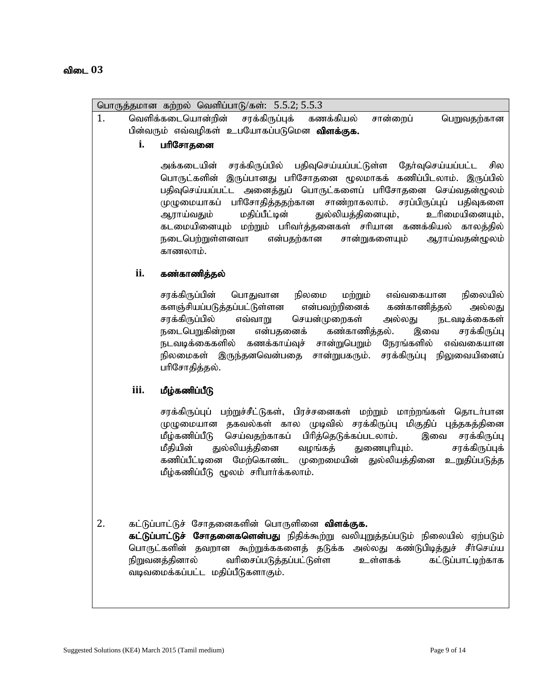#### விடை 03

| i.   | பரிசோதனை                                                                                                                                                                                                                                                                                                                                                                                                                                                                                                         |
|------|------------------------------------------------------------------------------------------------------------------------------------------------------------------------------------------------------------------------------------------------------------------------------------------------------------------------------------------------------------------------------------------------------------------------------------------------------------------------------------------------------------------|
|      | பதிவுசெய்யப்பட்டுள்ள தேர்வுசெய்யப்பட்ட<br>சரக்கிருப்பில்<br>அக்கடையின்<br>சில<br>பொருட்களின் இருப்பானது பரிசோதனை மூலமாகக் கணிப்பிடலாம். இருப்பில்<br>பதிவுசெய்யப்பட்ட அனைத்துப் பொருட்களைப் பரிசோதனை செய்வதன்ழூலம்<br>முழுமையாகப் பரிசோதித்ததற்கான சாண்றாகலாம். சரப்பிருப்புப் பதிவுகளை<br>துல்லியத்தினையும்,<br>ஆராய்வதும்<br>மதிப்பீட்டின்<br>உரிமையினையும்,<br>கடமையினையும் மற்றும் பரிவர்த்தனைகள் சரியான கணக்கியல் காலத்தில்<br>நடைபெற்றுள்ளனவா<br>என்பதற்கான<br>சான்றுகளையும்<br>ஆராய்வதன்மூலம்<br>காணலாம். |
| ii.  | கண்காணித்தல்                                                                                                                                                                                                                                                                                                                                                                                                                                                                                                     |
|      | சரக்கிருப்பின்<br>நிலமை<br>மற்றும்<br>நிலையில்<br>பொதுவான<br>எவ்வகையான<br>களஞ்சியப்படுத்தப்பட்டுள்ளன<br>என்பவற்றினைக்<br>கண்காணித்தல்<br>அல்லது<br>சரக்கிருப்பில்<br>செயன்முறைகள்<br>நடவடிக்கைகள்<br>எவ்வாறு<br>அல்லது<br>கண்காணித்தல்.<br>நடைபெறுகின்றன<br>என்பதனைக்<br>சரக்கிருப்பு<br>இவை<br>நடவடிக்கைகளில் கணக்காய்வுச் சான்றுபெறும்<br>நேரங்களில்<br>எவ்வகையான<br>நிலமைகள் இருந்தனவென்பதை<br>சான்றுபகரும்.<br>சரக்கிருப்பு<br>நிலுவையினைப்<br>பரிசோதித்தல்.                                                 |
| iii. | மீழ்கணிப்பீடு                                                                                                                                                                                                                                                                                                                                                                                                                                                                                                    |
|      | சரக்கிருப்புப் பற்றுச்சீட்டுகள், பிரச்சனைகள் மற்றும் மாற்றங்கள் தொடர்பான<br>தகவல்கள் கால முடிவில்<br>சரக்கிருப்பு மிகுதிப் புத்தகத்தினை<br>முழுமையான<br>மீழ்கணிப்பீடு<br>செய்வதற்காகப் பிரித்தெடுக்கப்படலாம்.<br>சரக்கிருப்பு<br>இவை<br>துல்லியத்தினை<br>சரக்கிருப்புக்<br>மீதியின்<br>வழங்கத்<br>துணைபுரியும்.<br>கணிப்பீட்டினை மேற்கொண்ட முறைமையின் துல்லியத்தினை<br>உறுதிப்படுத்த<br>மீழ்கணிப்பீடு மூலம் சரிபார்க்கலாம்.                                                                                      |

வடிவமைக்கப்பட்ட மதிப்பீடுகளாகும்.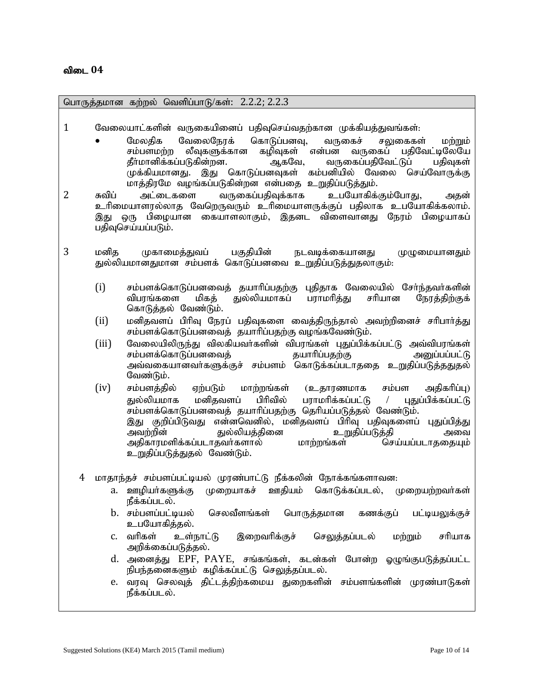பொருத்தமான கற்றல் வெளிப்பாடு/கள்: 2.2.2; 2.2.3

- $1$  பிரைலயாட்களின் வருகையினைப் பதிவுசெய்வதற்கான முக்கியத்துவங்கள்:
	- மேலதிக வேலைநேரக் கொடுப்பனவு, வருகைச் சலுகைகள் மற்றும் rk;gskw;w yPTfSf;fhd fopTfs; vd ;gd tUifg; gjpNtl;bNyNa jPh;khdpf;fg;gLfpd ;wd. MfNt> tUifg;gjpNtl;Lg ; gjpTfs; முக்கியமானது. இது கொடுப்பனவுகள் கம்பனியில் வேலை செய்வோருக்கு மாத்திரமே வழங்கப்படுகின்றன என்பதை உறுதிப்படுத்தும்.
- $2$  சுவிப் அட்டைகளை வருகைப்பகிவக்காக உபயோகிக்கும்போகு, அகன் உரிமையாளரல்லாத வேறெருவரும் உரிமையாளருக்குப் பதிலாக உபயோகிக்கலாம். இது ஒரு பிழையான கையாளலாகும், இதனட விளைவானது நேரம் பிழையாகப் பதிவுசெய்யப்படும்.
- 3 மனித முகாமைத்துவப் பகுதியின் நடவடிக்கையானது முழுமையானதும் துல்லியமானதுமான சம்பளக் கொடுப்பனவை உறுதிப்படுத்துதலாகும்.
	- $(i)$  சம்பளக்கொடுப்பனவைக் கயாரிப்பகற்கு புகிதாக வேலையில் சேர்ந்தவர்களின் விபரங்களை மிகத் துல்லியமாகப் பராமரித்து சரியான நேரத்திற்குக் கொடுத்தல் வேண்டும்.
	- (ii) மனிதவளப் பிரிவு நேரப் பதிவுகளை மைத்திருந்தால் அவற்றினைச் சரிபார்த்து சம்பளக்கொடுப்பனவைத் தயாரிப்பதற்கு வழங்கவேண்டும்.
	- (iii) NtiyapypUe ;J tpyfpath;fspd ; tpguq;fs ; GJg;gpf;fg;gl;L mt;tpguq;fs; சம்பளக்கொடுப்பனவைத் அவ்வகையானவா்களுக்குச் சம்பளம் கொடுக்கப்படாததை <u>உறு</u>திப்படுத்ததுதல் வேண்டும்.
	- $(iv)$  சம்பளத்தில் ஏற்படும் மாற்றங்கள் (உதாரணமாக சம்பள அதிகரிப்பு) துல்லியமாக மனிதவளப் பிரிவில் பராமரிக்கப்பட்டு / புதுப்பிக்கப்பட்டு சம்பளக்கொடுப்பனவைத் தயாரிப்பதற்கு தெரியப்படுத்தல் வேண்டும். ,J Fwpg;gpLtJ vd ;dntdpy;> kdpjtsg; gphpT gjpTfisg; GJg;gpj;J mtw;wpd ; Jy;ypaj;jpid cWjpg;gLj;jp mit அகிகாாமளிக்கப்படாகவர்களால் உறுதிப்படுத்துதல் வேண்டும்.
	- 4 மாதாந்தச் சம்பளப்பட்டியல் முரண்பாட்டு நீக்கலின் நோக்கங்களாவன:
		- a. ஊழியா்களுக்கு முறையாகச் ஊதியம் கொடுக்கப்படல், முறையற்றவா்கள் நீக்கப்படல்.
		- b. சம்பளப்பட்டியல் செலவீளங்கள் பொருத்தமான கணக்குப் பட்டியலுக்குச் உபயோகிக்கல்.
		- c. வரிகள் உள்நாட்டு இறைவரிக்குச் செலுத்தப்படல் மற்றும் சரியாக அறிக்கைப்படுத்தல்.
		- d. அனைத்து EPF, PAYE, சங்கங்கள், கடன்கள் போன்ற ஓழுங்குபடுத்தப்பட்ட நிபந்தனைகளும் கழிக்கப்பட்டு செலுத்தப்படல்.
		- e. வரவு செலவுத் திட்டத்திற்கமைய துறைகளின் சம்பளங்களின் முரண்பாடுகள் நீக்கப்படல்.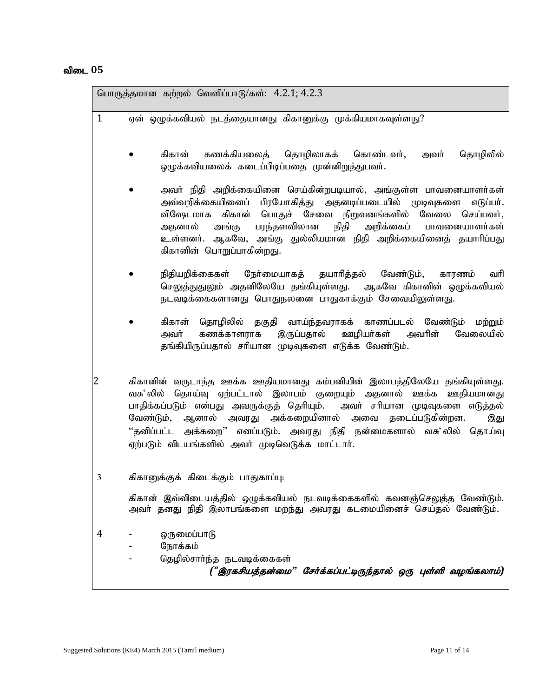#### விடை 05

| பொருத்தமான கற்றல் வெளிப்பாடு/கள்: 4.2.1; 4.2.3                                                                                                                                                                                                                                                                                                                                                                                |                                                                                                                                                                                                                                                                                                                                                            |  |
|-------------------------------------------------------------------------------------------------------------------------------------------------------------------------------------------------------------------------------------------------------------------------------------------------------------------------------------------------------------------------------------------------------------------------------|------------------------------------------------------------------------------------------------------------------------------------------------------------------------------------------------------------------------------------------------------------------------------------------------------------------------------------------------------------|--|
| $\mathbf{1}$                                                                                                                                                                                                                                                                                                                                                                                                                  | ஏன் ஒழுக்கவியல் நடத்தையானது கிகானுக்கு முக்கியமாகவுள்ளது?                                                                                                                                                                                                                                                                                                  |  |
|                                                                                                                                                                                                                                                                                                                                                                                                                               | கிகான் கணக்கியலைத் தொழிலாகக் கொண்டவர்,<br>தொழிலில்<br>அவர்<br>ஒழுக்கவியலைக் கடைப்பிடிப்பதை முன்னிறுத்துபவர்.                                                                                                                                                                                                                                               |  |
|                                                                                                                                                                                                                                                                                                                                                                                                                               | அவா் நிதி அறிக்கையினை செய்கின்றபடியால், அங்குள்ள பாவனையாளா்கள்<br>அவ்வறிக்கையினைப் பிரயோகித்து அதனடிப்படையில் முடிவுகளை<br>எடுப்பர்.<br>விஷேடமாக கிகான் பொதுச் சேவை நிறுவனங்களில் வேலை செய்பவர்,<br>நிதி அறிக்கைப் பாவனையாளர்கள்<br>அதனால் அங்கு பரந்தளவிலான<br>உள்ளனா். ஆகவே, அங்கு துல்லியமான நிதி அறிக்கையினைத் தயாாிப்பது<br>கிகானின் பொறுப்பாகின்றது. |  |
|                                                                                                                                                                                                                                                                                                                                                                                                                               | நிதியறிக்கைகள் நோ்மையாகத் தயாாித்தல் வேண்டும்,<br>காரணம்<br>வரி<br>செலுத்துதுலும் அதனிலேயே தங்கியுள்ளது.  ஆகவே கிகானின் ஒழுக்கவியல்<br>நடவடிக்கைகளானது பொதுநலனை பாதுகாக்கும் சேவையிலுள்ளது.                                                                                                                                                                |  |
|                                                                                                                                                                                                                                                                                                                                                                                                                               | கிகான் தொழிலில் தகுதி வாய்ந்தவராகக் காணப்படல் வேண்டும் மற்றும்<br>இருப்பதால் ஊழியா்கள் அவாின் வேலையில்<br>அவர் கணக்காளராக<br>தங்கியிருப்பதால் சரியான முடிவுகளை எடுக்க வேண்டும்.                                                                                                                                                                            |  |
| 2<br>கிகானின் வருடாந்த ஊக்க ஊதியமானது கம்பனியின் இலாபத்திலேயே தங்கியுள்ளது.<br>தொய்வு ஏற்பட்டால் இலாபம் குறையும் அதனால் ஊக்க ஊதியமானது<br>வசு' லில்<br>பாதிக்கப்படும் என்பது அவருக்குத் தெரியும். அவா் சாியான முடிவுகளை எடுத்தல்<br>வேண்டும், ஆனால் அவரது அக்கறையினால் அவை தடைப்படுகின்றன.<br>இது<br>''தனிப்பட்ட அக்கறை'' எனப்படும். அவரது நிதி நன்மைகளால் வசு'லில் தொய்வு<br>ஏற்படும் விடயங்களில் அவர் முடிவெடுக்க மாட்டார். |                                                                                                                                                                                                                                                                                                                                                            |  |
| 3                                                                                                                                                                                                                                                                                                                                                                                                                             | கிகானுக்குக் கிடைக்கும் பாதுகாப்பு:                                                                                                                                                                                                                                                                                                                        |  |
|                                                                                                                                                                                                                                                                                                                                                                                                                               | கிகான் இவ்விடையத்தில் ஒழுக்கவியல் நடவடிக்கைகளில் கவனஞ்செலுத்த வேண்டும்.<br>அவா் தனது நிதி இலாபங்களை மறந்து அவரது கடமையினைச் செய்தல் வேண்டும்.                                                                                                                                                                                                              |  |
| 4                                                                                                                                                                                                                                                                                                                                                                                                                             | ஒருமைப்பாடு<br>நோக்கம்<br>தெழில்சார்ந்த நடவடிக்கைகள்<br>("இரகசியத்தன்மை" சேர்க்கப்பட்டிருந்தால் ஒரு புள்ளி வழங்கலாம்)                                                                                                                                                                                                                                      |  |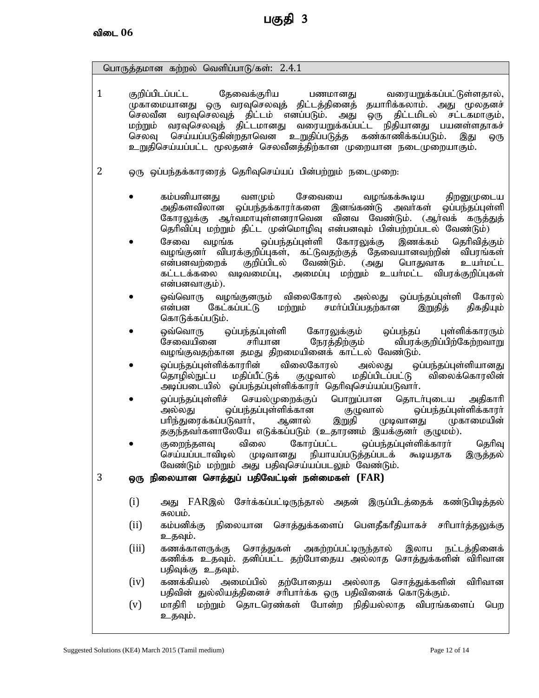பொருத்தமான கற்றல் வெளிப்பாடு/கள்:  $2.4.1$ 1 குறிப்பிடப்பட்ட தேவைக்குரிய பணமானது வரையறுக்கப்பட்டுள்ளதால், முகாமையானது ஒரு வரவுசெலவுத் திட்டத்தினைத் தயாரிக்கலாம். அது மூலதனச்<br>செலவீன வரவுசெலவுத் திட்டம் எனப்படும். அது ஒரு திட்டமிடல் சட்டகமாகும், செலவீன வரவுசெலவுத் திட்டம் எனப்படும். அது ஒரு திட்டமிடல் சட்டகமாகும்,<br>மற்றும் வரவுசெலவுத் திட்டமானது வரையறுக்கப்பட்ட நிதியானது பயனள்ளதாகச் மற்றும் வரவுசெலவுத் திட்டமானது வரையறுக்கப்பட்ட நிதியானது பட<br>செலவு செய்யப்படுகின்றதாவென உறுதிப்படுத்த கண்காணிக்கப்படும். செய்யப்படுகின்றதாவென <u>உறுதி</u>ப்படுத்த கண்காணிக்கப்படும். இது ஒரு உறுதிசெய்யப்பட்ட மூலதனச் செலவீனத்திற்கான முறையான நடைமுறையாகும். 2 ஒரு ஒப்பந்தக்காரரைத் தெரிவுசெய்யப் பின்பற்றும் நடைமுறை: கம்பனியானது வளமும் சேவையை வழங்கக்கூடிய திறனுமுடைய<br>அதிகளவிலான ஒப்பந்தக்காரர்களை இனங்கண்டு அவர்கள் ஒப்பந்கப்பள்ளி ஒப்பந்தக்காரர்களை இனங்கண்டு அவர்கள் ஒப்பந்தப்புள்ளி கோரலுக்கு ஆர்வமாயுள்ளனராவென வினவ வேண்டும். (ஆர்வக் கருத்துத் தெரிவிப்பு மற்றும் திட்ட முன்மொழிவு என்பனவும் பின்பற்றப்படல் வேண்டும்) சேவை வழங்க ஒப்பந்தப்புள்ளி கோரலுக்கு இணக்கம் தெரிவித்கும்<br>வழங்குனர் விபரக்குறிப்புகள், கட்டுவதற்குத் தேவையானவற்றின் விபரங்கள் ் விபரக்குறிப்புகள், கட்டுவதற்குத் தேவையானவற்றின் விபரங்கள்<br>ஊக் குறிப்பிடல் வேண்டும். (அது பொதுவாக உயா்மட்ட என்பனவற்றைக் குறிப்பிடல் வேண்டும். (அது பொதுவாக உயர்மட்ட<br>கட்டடக்கலை வடிவமைப்பு, அமைப்பு மற்றும் உயர்மட்ட விபாக்குறிப்புகள் கட்டடக்கலை வடிவமைப்பு, அமைப்பு மற்றும் உயர்மட்ட என்பனவாகும்). ஒவ்வொரு வழங்குனரும் விலைகோரல் அல்லது ஒப்பந்தப்புள்ளி கோரல்<br>என்பன கேட்கப்பட்டு மற்றும் சமா்ப்பிப்பதற்கான இறுதித் திகதியும் சமா்ப்பிப்பதற்கான கொடுக்கப்படும். <u>ஒ</u>வ்வொரு ஒப்பந்தப்புள்ளி கோரலுக்கும் ஒப்பந்தப் புள்ளிக்காரரும் சேவையினை சரியான நேரத்திற்கும் விபரக்குறிப்பிற்கேற்றவாறு வழங்குவதற்கான தமது திறமையினைக் காட்டல் வேண்டும். ஒப்பந்தப்புள்ளிக்காரரின் விலைகோரல் அல்லது ஒப்பந்தப்புள்ளியானது<br>தொழில்நுட்ப மதிப்பீட்டுக் குழுவால் மதிப்பிடப்பட்டு விலைக்கொரலின் விலைக்கொரலின் அடிப்படையில் ஒப்பந்தப்புள்ளிக்காரா் தெரிவுசெய்யப்படுவாா். ஒப்பந்தப்புள்ளிச் செயல்முறைக்குப் பொறுப்பான தொடர்புடைய அதிகாரி<br>அல்லது வப்பந்தப்புள்ளிக்கான குழுவால் வப்பந்தப்புள்ளிக்காரர் அல்லது ஓப்பந்தப்புள்ளிக்கான குழுவால் ஒப்பந்தப்புள்ளிக்காரா்<br>பாிந்துரைக்கப்படுவாா், ஆனால் இறுதி (முடிவானது (மகாமையின் பரிந்துரைக்கப்படுவாா், ஆனால் இறுதி முடிவானது தகுந்தவா்களாலேயே எடுக்கப்படும் (உதாரணம் இயக்குனா் குழுமம்). குறைந்தளவு விலை கோரப்பட்ட ஒப்பந்தப்புள்ளிக்காரா் தெரிவு செய்யப்படாவிடில் முடிவானது நியாயப்படுத்தப்படக் கூடியதாக இருத்தல் வேண்டும் மற்றும் அது பதிவுசெய்யப்படலும் வேண்டும். 3 ஒரு நிலையான சொத்துப் பதிவேட்டின் நன்மைகள் (FAR) (i) அது FARஇல் சேர்க்கப்பட்டிருந்தால் அதன் இருப்பிடத்தைக் கண்டுபிடித்தல் சுலபம். (ii) கம்பனிக்கு நிலையான சொத்துக்களைப் பௌதீகரீதியாகச் சரிபார்த்<u>தலு</u>க்கு உதவும். (iii) கணக்காளருக்கு சொத்துகள் அகற்றப்பட்டிருந்தால் இலாப நட்டத்தினைக் கணிக்க உதவும். தனிப்பட்ட தற்போகைய அல்லாத சொக்துக்களின் விரிவான பதிவுக்கு உதவும். (iv) கணக்கியல் அமைப்பில் தற்போதைய அல்லாத சொத்துக்களின் விரிவான பதிவின் துல்லியத்தினைச் சரிபார்க்க ஒரு பதிவினைக் கொடுக்கும்.  $\lbrack \mathrm{v} \rbrack$  மாதிரி மற்றும் தொடரெண்கள் போன்ற நிதியல்லாத விபரங்களைப் பெற உதவும்.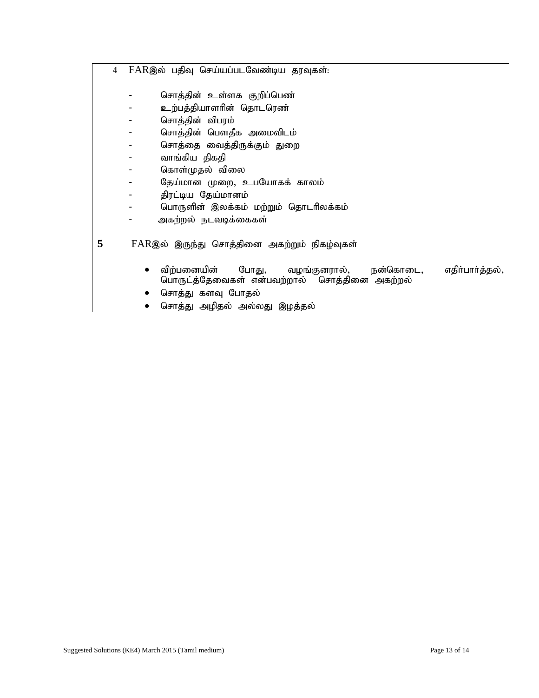- 4 FARஇல் பதிவு செய்யப்படவேண்டிய தரவுகள்:
	- nrhj;jpd ; cs;sf Fwpg;ngz;
	- உற்பத்தியாளரின் தொடரெண்
	- nrhj;jpd ; tpguk;
	- nrhj;jpd ; ngsjPf miktplk;
	- nrhj;ij itj;jpUf;Fk; Jiw
	- வாங்கிய திகதி
	- கொள்முதல் விலை
	- நேய்மான முறை, உபயோகக் காலம்
	- திரட்டிய தேய்மானம்
	- பொருளின் இலக்கம் மற்றும் தொடரிலக்கம்
	- அகற்றல் நடவடிக்கைகள்
- 5 FARஇல் இருந்து சொத்தினை அகற்றும் நிகழ்வுகள்
	- $\bullet$  விற்பனையின் போது, வழங்குனரால், நன்கொடை, எதிா்பாா்த்தல், பொருட்த்தேவைகள் என்பவற்றால் சொத்தினை அகற்றல்
	- சொத்து களவு போதல்
	- சொத்து அழிதல் அல்லது இழத்தல்